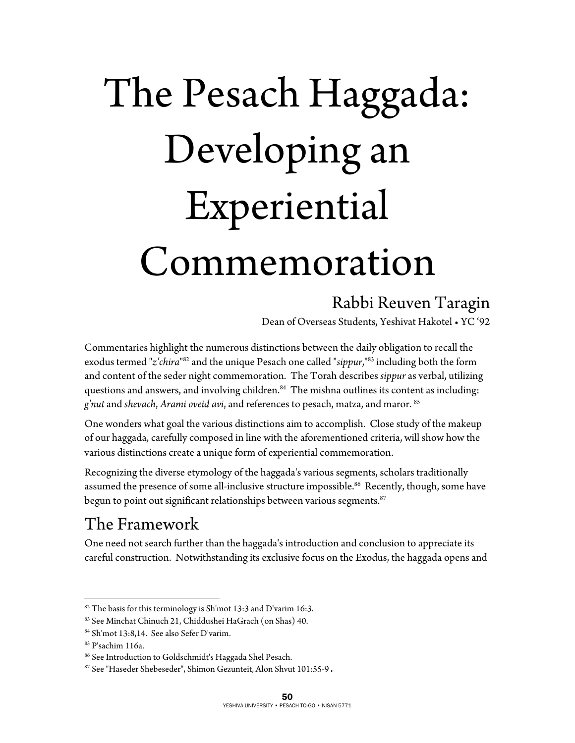# The Pesach Haggada: Developing an Experiential Commemoration

#### Rabbi Reuven Taragin

Dean of Overseas Students, Yeshivat Hakotel • YC '92

Commentaries highlight the numerous distinctions between the daily obligation to recall the exodus termed "*z'chira*" 82 and the unique Pesach one called "*sippur*,"83 including both the form and content of the seder night commemoration. The Torah describes *sippur* as verbal, utilizing questions and answers, and involving children.<sup>84</sup> The mishna outlines its content as including: *g'nut* and *shevach*, *Arami oveid avi*, and references to pesach, matza, and maror. 85

One wonders what goal the various distinctions aim to accomplish. Close study of the makeup of our haggada, carefully composed in line with the aforementioned criteria, will show how the various distinctions create a unique form of experiential commemoration.

Recognizing the diverse etymology of the haggada's various segments, scholars traditionally assumed the presence of some all-inclusive structure impossible.<sup>86</sup> Recently, though, some have begun to point out significant relationships between various segments. $87$ 

#### The Framework

One need not search further than the haggada's introduction and conclusion to appreciate its careful construction. Notwithstanding its exclusive focus on the Exodus, the haggada opens and

 $\overline{a}$ 

 $82$  The basis for this terminology is Sh'mot 13:3 and D'varim 16:3.

<sup>83</sup> See Minchat Chinuch 21, Chiddushei HaGrach (on Shas) 40.

<sup>84</sup> Sh'mot 13:8,14. See also Sefer D'varim.

<sup>85</sup> P'sachim 116a.

<sup>86</sup> See Introduction to Goldschmidt's Haggada Shel Pesach.

<sup>87</sup> See "Haseder Shebeseder", Shimon Gezunteit, Alon Shvut 101:55-9.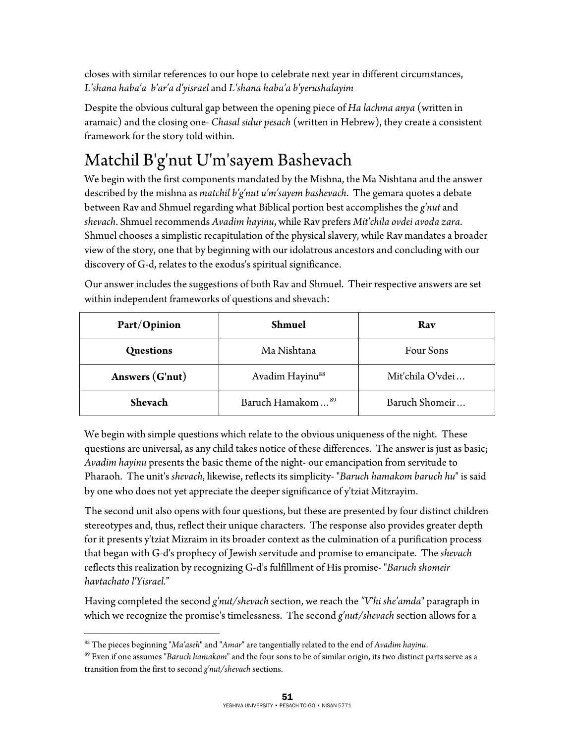closes with similar references to our hope to celebrate next year in different circumstances, *L'shana haba'a b'ar'a d'yisrael* and *L'shana haba'a b'yerushalayim*

Despite the obvious cultural gap between the opening piece of *Ha lachma anya* (written in aramaic) and the closing one- *Chasal sidur pesach* (written in Hebrew), they create a consistent framework for the story told within.

## Matchil B'g'nut U'm'sayem Bashevach

We begin with the first components mandated by the Mishna, the Ma Nishtana and the answer described by the mishna as *matchil b'g'nut u'm'sayem bashevach*. The gemara quotes a debate between Rav and Shmuel regarding what Biblical portion best accomplishes the *g'nut* and *shevach*. Shmuel recommends *Avadim hayinu*, while Rav prefers *Mit'chila ovdei avoda zara*. Shmuel chooses a simplistic recapitulation of the physical slavery, while Rav mandates a broader view of the story, one that by beginning with our idolatrous ancestors and concluding with our discovery of G-d, relates to the exodus's spiritual significance.

| Part/Opinion     | Shmuel                       | Rav              |
|------------------|------------------------------|------------------|
| <b>Questions</b> | Ma Nishtana                  | Four Sons        |
| Answers (G'nut)  | Avadim Hayinu <sup>88</sup>  | Mit'chila O'vdei |
| <b>Shevach</b>   | Baruch Hamakom <sup>89</sup> | Baruch Shomeir   |

Our answer includes the suggestions of both Rav and Shmuel. Their respective answers are set within independent frameworks of questions and shevach:

We begin with simple questions which relate to the obvious uniqueness of the night. These questions are universal, as any child takes notice of these differences. The answer is just as basic; *Avadim hayinu* presents the basic theme of the night- our emancipation from servitude to Pharaoh. The unit's *shevach*, likewise, reflects its simplicity- "*Baruch hamakom baruch hu*" is said by one who does not yet appreciate the deeper significance of y'tziat Mitzrayim.

The second unit also opens with four questions, but these are presented by four distinct children stereotypes and, thus, reflect their unique characters. The response also provides greater depth for it presents y'tziat Mizraim in its broader context as the culmination of a purification process that began with G-d's prophecy of Jewish servitude and promise to emancipate. The *shevach* reflects this realization by recognizing G-d's fulfillment of His promise- "*Baruch shomeir havtachato l'Yisrael.*"

Having completed the second *g'nut/shevach* section, we reach the *"V'hi she'amda*" paragraph in which we recognize the promise's timelessness. The second *g'nut/shevach* section allows for a

 $\overline{a}$ 88 The pieces beginning "*Ma'aseh*" and "*Amar*" are tangentially related to the end of *Avadim hayinu*.

<sup>89</sup> Even if one assumes "*Baruch hamakom*" and the four sons to be of similar origin, its two distinct parts serve as a transition from the first to second *g'nut/shevach* sections.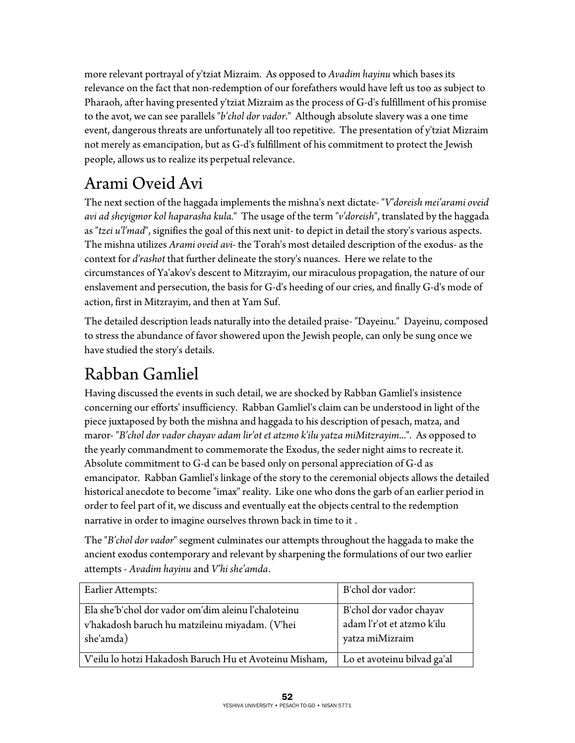more relevant portrayal of y'tziat Mizraim. As opposed to *Avadim hayinu* which bases its relevance on the fact that non-redemption of our forefathers would have left us too as subject to Pharaoh, after having presented y'tziat Mizraim as the process of G-d's fulfillment of his promise to the avot, we can see parallels "*b'chol dor vador*." Although absolute slavery was a one time event, dangerous threats are unfortunately all too repetitive. The presentation of y'tziat Mizraim not merely as emancipation, but as G-d's fulfillment of his commitment to protect the Jewish people, allows us to realize its perpetual relevance.

## Arami Oveid Avi

The next section of the haggada implements the mishna's next dictate- "*V'doreish mei'arami oveid avi ad sheyigmor kol haparasha kula.*" The usage of the term "*v'doreish*", translated by the haggada as "*tzei u'l'mad*", signifies the goal of this next unit- to depict in detail the story's various aspects. The mishna utilizes *Arami oveid avi*- the Torah's most detailed description of the exodus- as the context for *d'rashot* that further delineate the story's nuances. Here we relate to the circumstances of Ya'akov's descent to Mitzrayim, our miraculous propagation, the nature of our enslavement and persecution, the basis for G-d's heeding of our cries, and finally G-d's mode of action, first in Mitzrayim, and then at Yam Suf.

The detailed description leads naturally into the detailed praise- "Dayeinu." Dayeinu, composed to stress the abundance of favor showered upon the Jewish people, can only be sung once we have studied the story's details.

### Rabban Gamliel

Having discussed the events in such detail, we are shocked by Rabban Gamliel's insistence concerning our efforts' insufficiency. Rabban Gamliel's claim can be understood in light of the piece juxtaposed by both the mishna and haggada to his description of pesach, matza, and maror- "*B'chol dor vador chayav adam lir'ot et atzmo k'ilu yatza miMitzrayim*...". As opposed to the yearly commandment to commemorate the Exodus, the seder night aims to recreate it. Absolute commitment to G-d can be based only on personal appreciation of G-d as emancipator. Rabban Gamliel's linkage of the story to the ceremonial objects allows the detailed historical anecdote to become "imax" reality. Like one who dons the garb of an earlier period in order to feel part of it, we discuss and eventually eat the objects central to the redemption narrative in order to imagine ourselves thrown back in time to it .

The "*B'chol dor vador*" segment culminates our attempts throughout the haggada to make the ancient exodus contemporary and relevant by sharpening the formulations of our two earlier attempts - *Avadim hayinu* and *V'hi she'amda*.

| Earlier Attempts:                                                                                                   | B'chol dor vador:                                                        |
|---------------------------------------------------------------------------------------------------------------------|--------------------------------------------------------------------------|
| Ela she'b'chol dor vador om'dim aleinu l'chaloteinu<br>v'hakadosh baruch hu matzileinu miyadam. (V'hei<br>she'amda) | B'chol dor vador chayav<br>adam l'r'ot et atzmo k'ilu<br>yatza miMizraim |
| V'eilu lo hotzi Hakadosh Baruch Hu et Avoteinu Misham,                                                              | Lo et avoteinu bilvad ga'al                                              |